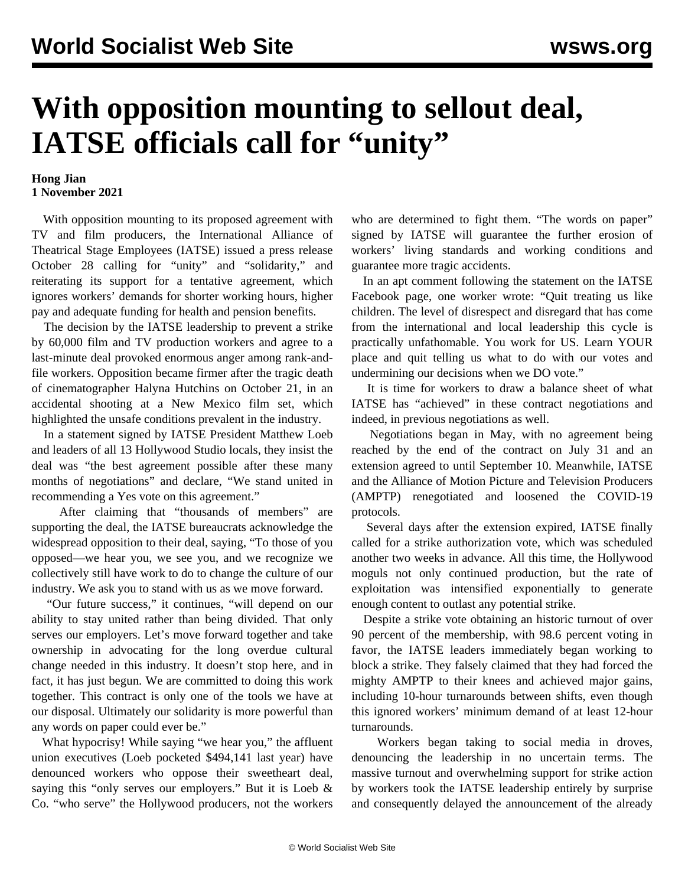## **With opposition mounting to sellout deal, IATSE officials call for "unity"**

## **Hong Jian 1 November 2021**

 With opposition mounting to its proposed agreement with TV and film producers, the International Alliance of Theatrical Stage Employees (IATSE) issued a press release October 28 calling for "unity" and "solidarity," and reiterating its support for a tentative agreement, which ignores workers' demands for shorter working hours, higher pay and adequate funding for health and pension benefits.

 The decision by the IATSE leadership to prevent a strike by 60,000 film and TV production workers and agree to a last-minute deal provoked enormous anger among rank-andfile workers. Opposition became firmer after the tragic death of cinematographer Halyna Hutchins on October 21, in an accidental shooting at a New Mexico film set, which highlighted the unsafe conditions prevalent in the industry.

 In a statement signed by IATSE President Matthew Loeb and leaders of all 13 Hollywood Studio locals, they insist the deal was "the best agreement possible after these many months of negotiations" and declare, "We stand united in recommending a Yes vote on this agreement."

 After claiming that "thousands of members" are supporting the deal, the IATSE bureaucrats acknowledge the widespread opposition to their deal, saying, "To those of you opposed—we hear you, we see you, and we recognize we collectively still have work to do to change the culture of our industry. We ask you to stand with us as we move forward.

 "Our future success," it continues, "will depend on our ability to stay united rather than being divided. That only serves our employers. Let's move forward together and take ownership in advocating for the long overdue cultural change needed in this industry. It doesn't stop here, and in fact, it has just begun. We are committed to doing this work together. This contract is only one of the tools we have at our disposal. Ultimately our solidarity is more powerful than any words on paper could ever be."

 What hypocrisy! While saying "we hear you," the affluent union executives (Loeb pocketed \$494,141 last year) have denounced workers who oppose their sweetheart deal, saying this "only serves our employers." But it is Loeb & Co. "who serve" the Hollywood producers, not the workers

who are determined to fight them. "The words on paper" signed by IATSE will guarantee the further erosion of workers' living standards and working conditions and guarantee more tragic accidents.

 In an apt comment following the statement on the IATSE Facebook page, one worker wrote: "Quit treating us like children. The level of disrespect and disregard that has come from the international and local leadership this cycle is practically unfathomable. You work for US. Learn YOUR place and quit telling us what to do with our votes and undermining our decisions when we DO vote."

 It is time for workers to draw a balance sheet of what IATSE has "achieved" in these contract negotiations and indeed, in previous negotiations as well.

 Negotiations began in May, with no agreement being reached by the end of the contract on July 31 and an extension agreed to until September 10. Meanwhile, IATSE and the Alliance of Motion Picture and Television Producers (AMPTP) renegotiated and loosened the COVID-19 protocols.

 Several days after the extension expired, IATSE finally called for a strike authorization vote, which was scheduled another two weeks in advance. All this time, the Hollywood moguls not only continued production, but the rate of exploitation was intensified exponentially to generate enough content to outlast any potential strike.

 Despite a strike vote obtaining an historic turnout of over 90 percent of the membership, with 98.6 percent voting in favor, the IATSE leaders immediately began working to block a strike. They falsely claimed that they had forced the mighty AMPTP to their knees and achieved major gains, including 10-hour turnarounds between shifts, even though this ignored workers' minimum demand of at least 12-hour turnarounds.

 Workers began taking to social media in droves, denouncing the leadership in no uncertain terms. The massive turnout and overwhelming support for strike action by workers took the IATSE leadership entirely by surprise and consequently delayed the announcement of the already